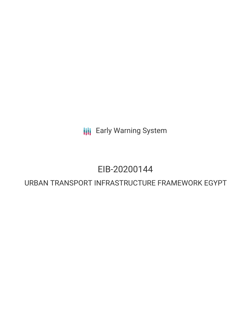**III** Early Warning System

# EIB-20200144

## URBAN TRANSPORT INFRASTRUCTURE FRAMEWORK EGYPT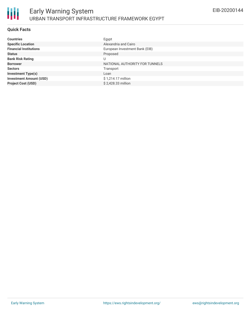

#### **Quick Facts**

| <b>Countries</b>               | Egypt                          |
|--------------------------------|--------------------------------|
| <b>Specific Location</b>       | Alexandria and Cairo           |
| <b>Financial Institutions</b>  | European Investment Bank (EIB) |
| <b>Status</b>                  | Proposed                       |
| <b>Bank Risk Rating</b>        |                                |
| <b>Borrower</b>                | NATIONAL AUTHORITY FOR TUNNELS |
| <b>Sectors</b>                 | Transport                      |
| <b>Investment Type(s)</b>      | Loan                           |
| <b>Investment Amount (USD)</b> | \$1,214.17 million             |
| <b>Project Cost (USD)</b>      | \$2,428.33 million             |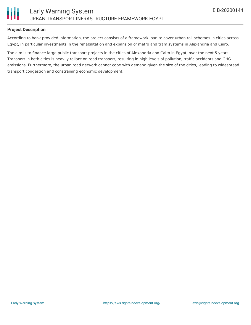

#### **Project Description**

According to bank provided information, the project consists of a framework loan to cover urban rail schemes in cities across Egypt, in particular investments in the rehabilitation and expansion of metro and tram systems in Alexandria and Cairo.

The aim is to finance large public transport projects in the cities of Alexandria and Cairo in Egypt, over the next 5 years. Transport in both cities is heavily reliant on road transport, resulting in high levels of pollution, traffic accidents and GHG emissions. Furthermore, the urban road network cannot cope with demand given the size of the cities, leading to widespread transport congestion and constraining economic development.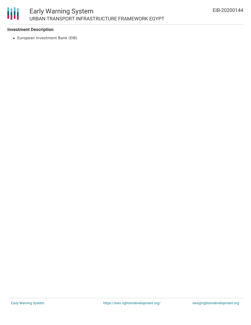

#### **Investment Description**

European Investment Bank (EIB)